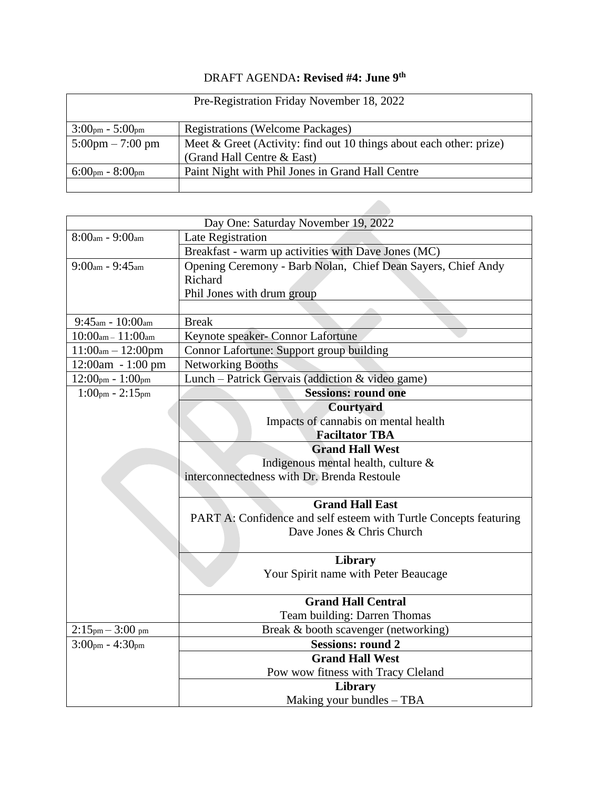## DRAFT AGENDA**: Revised #4: June 9 th**

| Pre-Registration Friday November 18, 2022 |                                                                        |  |
|-------------------------------------------|------------------------------------------------------------------------|--|
| $3:00pm - 5:00pm$                         | <b>Registrations (Welcome Packages)</b>                                |  |
| $5:00 \text{pm} - 7:00 \text{pm}$         | Meet $\&$ Greet (Activity: find out 10 things about each other: prize) |  |
|                                           | (Grand Hall Centre & East)                                             |  |
| $6:00_{\text{pm}} - 8:00_{\text{pm}}$     | Paint Night with Phil Jones in Grand Hall Centre                       |  |
|                                           |                                                                        |  |

| Day One: Saturday November 19, 2022 |                                                                   |  |
|-------------------------------------|-------------------------------------------------------------------|--|
| $8:00am - 9:00am$                   | Late Registration                                                 |  |
|                                     | Breakfast - warm up activities with Dave Jones (MC)               |  |
| $9:00am - 9:45am$                   | Opening Ceremony - Barb Nolan, Chief Dean Sayers, Chief Andy      |  |
|                                     | Richard                                                           |  |
|                                     | Phil Jones with drum group                                        |  |
|                                     |                                                                   |  |
| $9:45$ am - $10:00$ am              | <b>Break</b>                                                      |  |
| $10:00$ am - $11:00$ am             | Keynote speaker- Connor Lafortune                                 |  |
| $11:00am - 12:00pm$                 | Connor Lafortune: Support group building                          |  |
| $12:00am - 1:00 pm$                 | Networking Booths                                                 |  |
| $12:00pm - 1:00pm$                  | Lunch - Patrick Gervais (addiction & video game)                  |  |
| $1:00$ pm - $2:15$ pm               | <b>Sessions: round one</b>                                        |  |
|                                     | Courtyard                                                         |  |
|                                     | Impacts of cannabis on mental health                              |  |
|                                     | <b>Faciltator TBA</b>                                             |  |
|                                     | <b>Grand Hall West</b>                                            |  |
|                                     | Indigenous mental health, culture $\&$                            |  |
|                                     | interconnectedness with Dr. Brenda Restoule                       |  |
|                                     |                                                                   |  |
|                                     | <b>Grand Hall East</b>                                            |  |
|                                     | PART A: Confidence and self esteem with Turtle Concepts featuring |  |
|                                     | Dave Jones & Chris Church                                         |  |
|                                     | <b>Library</b>                                                    |  |
|                                     | Your Spirit name with Peter Beaucage                              |  |
|                                     |                                                                   |  |
|                                     | <b>Grand Hall Central</b>                                         |  |
|                                     | Team building: Darren Thomas                                      |  |
| $2:15pm - 3:00pm$                   | Break & booth scavenger (networking)                              |  |
| $3:00pm - 4:30pm$                   | <b>Sessions: round 2</b>                                          |  |
|                                     | <b>Grand Hall West</b>                                            |  |
|                                     | Pow wow fitness with Tracy Cleland                                |  |
|                                     | Library                                                           |  |
|                                     | Making your bundles - TBA                                         |  |